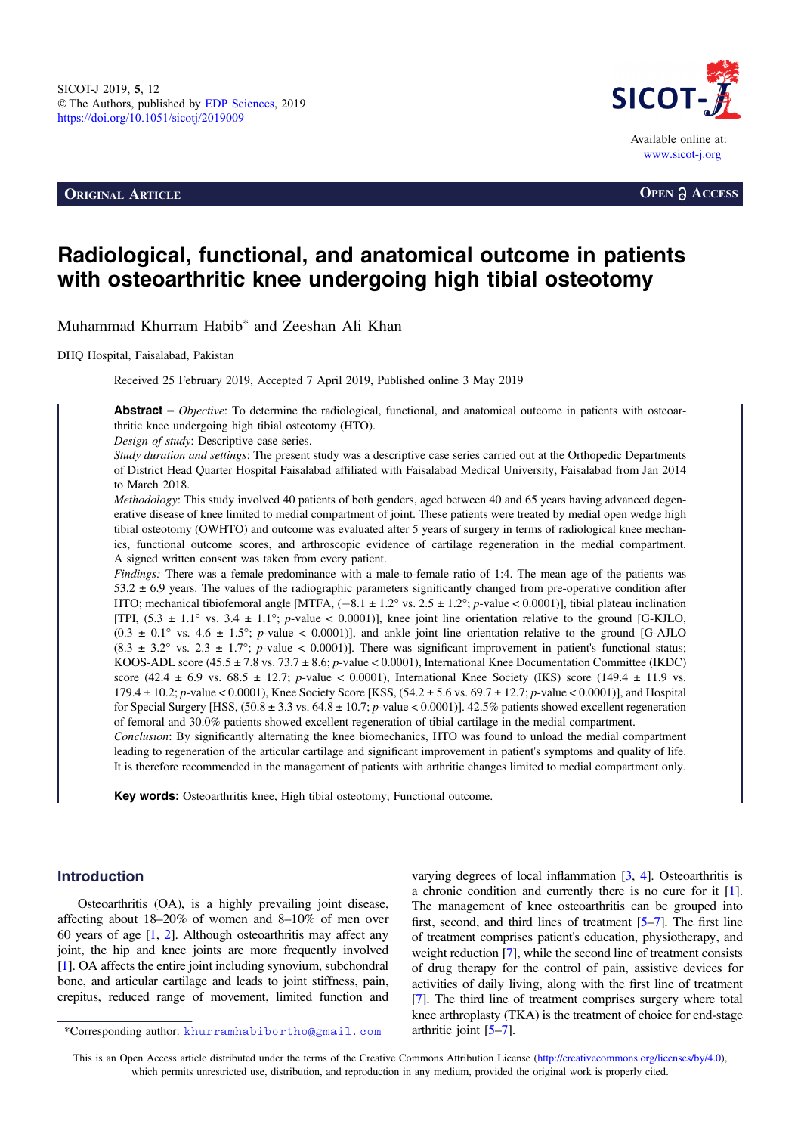**ORIGINAL ARTICLE OPEN a** ACCESS



# Radiological, functional, and anatomical outcome in patients with osteoarthritic knee undergoing high tibial osteotomy

Muhammad Khurram Habib\* and Zeeshan Ali Khan

DHQ Hospital, Faisalabad, Pakistan

Received 25 February 2019, Accepted 7 April 2019, Published online 3 May 2019

**Abstract** – *Objective*: To determine the radiological, functional, and anatomical outcome in patients with osteoarthritic knee undergoing high tibial osteotomy (HTO).

Design of study: Descriptive case series.

Study duration and settings: The present study was a descriptive case series carried out at the Orthopedic Departments of District Head Quarter Hospital Faisalabad affiliated with Faisalabad Medical University, Faisalabad from Jan 2014 to March 2018.

Methodology: This study involved 40 patients of both genders, aged between 40 and 65 years having advanced degenerative disease of knee limited to medial compartment of joint. These patients were treated by medial open wedge high tibial osteotomy (OWHTO) and outcome was evaluated after 5 years of surgery in terms of radiological knee mechanics, functional outcome scores, and arthroscopic evidence of cartilage regeneration in the medial compartment. A signed written consent was taken from every patient.

Findings: There was a female predominance with a male-to-female ratio of 1:4. The mean age of the patients was  $53.2 \pm 6.9$  years. The values of the radiographic parameters significantly changed from pre-operative condition after HTO; mechanical tibiofemoral angle [MTFA,  $(-8.1 \pm 1.2^\circ \text{ vs. } 2.5 \pm 1.2^\circ; p\text{-value} < 0.0001)$ ], tibial plateau inclination [TPI,  $(5.3 \pm 1.1^{\circ} \text{ vs. } 3.4 \pm 1.1^{\circ})$ ; p-value < 0.0001)], knee joint line orientation relative to the ground [G-KJLO,  $(0.3 \pm 0.1^{\circ} \text{ vs. } 4.6 \pm 1.5^{\circ})$ ; p-value < 0.0001)], and ankle joint line orientation relative to the ground [G-AJLO  $(8.3 \pm 3.2^{\circ} \text{ vs. } 2.3 \pm 1.7^{\circ}; p\text{-value} < 0.0001)$ ]. There was significant improvement in patient's functional status; KOOS-ADL score (45.5 ± 7.8 vs. 73.7 ± 8.6; p-value < 0.0001), International Knee Documentation Committee (IKDC) score (42.4  $\pm$  6.9 vs. 68.5  $\pm$  12.7; *p*-value < 0.0001), International Knee Society (IKS) score (149.4  $\pm$  11.9 vs.  $179.4 \pm 10.2$ ; p-value < 0.0001), Knee Society Score [KSS,  $(54.2 \pm 5.6 \text{ vs. } 69.7 \pm 12.7)$ ; p-value < 0.0001)], and Hospital for Special Surgery [HSS,  $(50.8 \pm 3.3 \text{ vs. } 64.8 \pm 10.7; p \text{-value} < 0.0001)$ ]. 42.5% patients showed excellent regeneration of femoral and 30.0% patients showed excellent regeneration of tibial cartilage in the medial compartment.

Conclusion: By significantly alternating the knee biomechanics, HTO was found to unload the medial compartment leading to regeneration of the articular cartilage and significant improvement in patient's symptoms and quality of life. It is therefore recommended in the management of patients with arthritic changes limited to medial compartment only.

Key words: Osteoarthritis knee, High tibial osteotomy, Functional outcome.

### Introduction

Osteoarthritis (OA), is a highly prevailing joint disease, affecting about 18–20% of women and 8–10% of men over 60 years of age [\[1,](#page-3-0) [2\]](#page-3-0). Although osteoarthritis may affect any joint, the hip and knee joints are more frequently involved [[1](#page-3-0)]. OA affects the entire joint including synovium, subchondral bone, and articular cartilage and leads to joint stiffness, pain, crepitus, reduced range of movement, limited function and

varying degrees of local inflammation [\[3,](#page-3-0) [4\]](#page-3-0). Osteoarthritis is a chronic condition and currently there is no cure for it [\[1](#page-3-0)]. The management of knee osteoarthritis can be grouped into first, second, and third lines of treatment [\[5](#page-3-0)–[7\]](#page-3-0). The first line of treatment comprises patient's education, physiotherapy, and weight reduction [[7\]](#page-3-0), while the second line of treatment consists of drug therapy for the control of pain, assistive devices for activities of daily living, along with the first line of treatment [[7\]](#page-3-0). The third line of treatment comprises surgery where total knee arthroplasty (TKA) is the treatment of choice for end-stage

<sup>\*</sup>Corresponding author: khurramhabibortho@gmail.com arthritic joint [[5](#page-3-0)–[7](#page-3-0)].

This is an Open Access article distributed under the terms of the Creative Commons Attribution License ([http://creativecommons.org/licenses/by/4.0\)](http://creativecommons.org/licenses/by/4.0/), which permits unrestricted use, distribution, and reproduction in any medium, provided the original work is properly cited.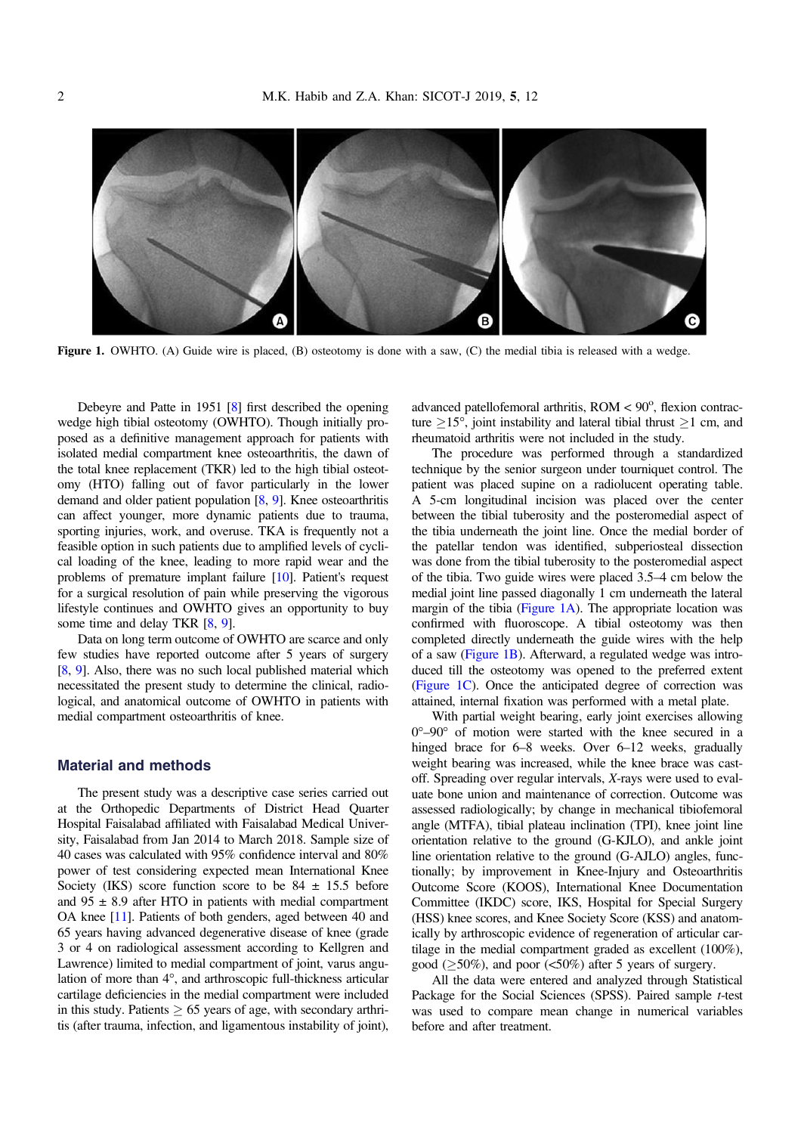

Figure 1. OWHTO. (A) Guide wire is placed, (B) osteotomy is done with a saw, (C) the medial tibia is released with a wedge.

Debeyre and Patte in 1951 [\[8\]](#page-3-0) first described the opening wedge high tibial osteotomy (OWHTO). Though initially proposed as a definitive management approach for patients with isolated medial compartment knee osteoarthritis, the dawn of the total knee replacement (TKR) led to the high tibial osteotomy (HTO) falling out of favor particularly in the lower demand and older patient population [\[8](#page-3-0), [9](#page-3-0)]. Knee osteoarthritis can affect younger, more dynamic patients due to trauma, sporting injuries, work, and overuse. TKA is frequently not a feasible option in such patients due to amplified levels of cyclical loading of the knee, leading to more rapid wear and the problems of premature implant failure [\[10\]](#page-3-0). Patient's request for a surgical resolution of pain while preserving the vigorous lifestyle continues and OWHTO gives an opportunity to buy some time and delay TKR [[8](#page-3-0), [9\]](#page-3-0).

Data on long term outcome of OWHTO are scarce and only few studies have reported outcome after 5 years of surgery [[8](#page-3-0), [9\]](#page-3-0). Also, there was no such local published material which necessitated the present study to determine the clinical, radiological, and anatomical outcome of OWHTO in patients with medial compartment osteoarthritis of knee.

#### Material and methods

The present study was a descriptive case series carried out at the Orthopedic Departments of District Head Quarter Hospital Faisalabad affiliated with Faisalabad Medical University, Faisalabad from Jan 2014 to March 2018. Sample size of 40 cases was calculated with 95% confidence interval and 80% power of test considering expected mean International Knee Society (IKS) score function score to be  $84 \pm 15.5$  before and  $95 \pm 8.9$  after HTO in patients with medial compartment OA knee [[11](#page-3-0)]. Patients of both genders, aged between 40 and 65 years having advanced degenerative disease of knee (grade 3 or 4 on radiological assessment according to Kellgren and Lawrence) limited to medial compartment of joint, varus angulation of more than  $4^\circ$ , and arthroscopic full-thickness articular cartilage deficiencies in the medial compartment were included in this study. Patients  $\geq 65$  years of age, with secondary arthritis (after trauma, infection, and ligamentous instability of joint),

advanced patellofemoral arthritis, ROM < 90°, flexion contracture  $> 15^{\circ}$ , joint instability and lateral tibial thrust  $> 1$  cm, and rheumatoid arthritis were not included in the study.

The procedure was performed through a standardized technique by the senior surgeon under tourniquet control. The patient was placed supine on a radiolucent operating table. A 5-cm longitudinal incision was placed over the center between the tibial tuberosity and the posteromedial aspect of the tibia underneath the joint line. Once the medial border of the patellar tendon was identified, subperiosteal dissection was done from the tibial tuberosity to the posteromedial aspect of the tibia. Two guide wires were placed 3.5–4 cm below the medial joint line passed diagonally 1 cm underneath the lateral margin of the tibia (Figure 1A). The appropriate location was confirmed with fluoroscope. A tibial osteotomy was then completed directly underneath the guide wires with the help of a saw (Figure 1B). Afterward, a regulated wedge was introduced till the osteotomy was opened to the preferred extent (Figure 1C). Once the anticipated degree of correction was attained, internal fixation was performed with a metal plate.

With partial weight bearing, early joint exercises allowing  $0^{\circ}-90^{\circ}$  of motion were started with the knee secured in a hinged brace for 6–8 weeks. Over 6–12 weeks, gradually weight bearing was increased, while the knee brace was castoff. Spreading over regular intervals, X-rays were used to evaluate bone union and maintenance of correction. Outcome was assessed radiologically; by change in mechanical tibiofemoral angle (MTFA), tibial plateau inclination (TPI), knee joint line orientation relative to the ground (G-KJLO), and ankle joint line orientation relative to the ground (G-AJLO) angles, functionally; by improvement in Knee-Injury and Osteoarthritis Outcome Score (KOOS), International Knee Documentation Committee (IKDC) score, IKS, Hospital for Special Surgery (HSS) knee scores, and Knee Society Score (KSS) and anatomically by arthroscopic evidence of regeneration of articular cartilage in the medial compartment graded as excellent (100%), good ( $\geq$ 50%), and poor (<50%) after 5 years of surgery.

All the data were entered and analyzed through Statistical Package for the Social Sciences (SPSS). Paired sample t-test was used to compare mean change in numerical variables before and after treatment.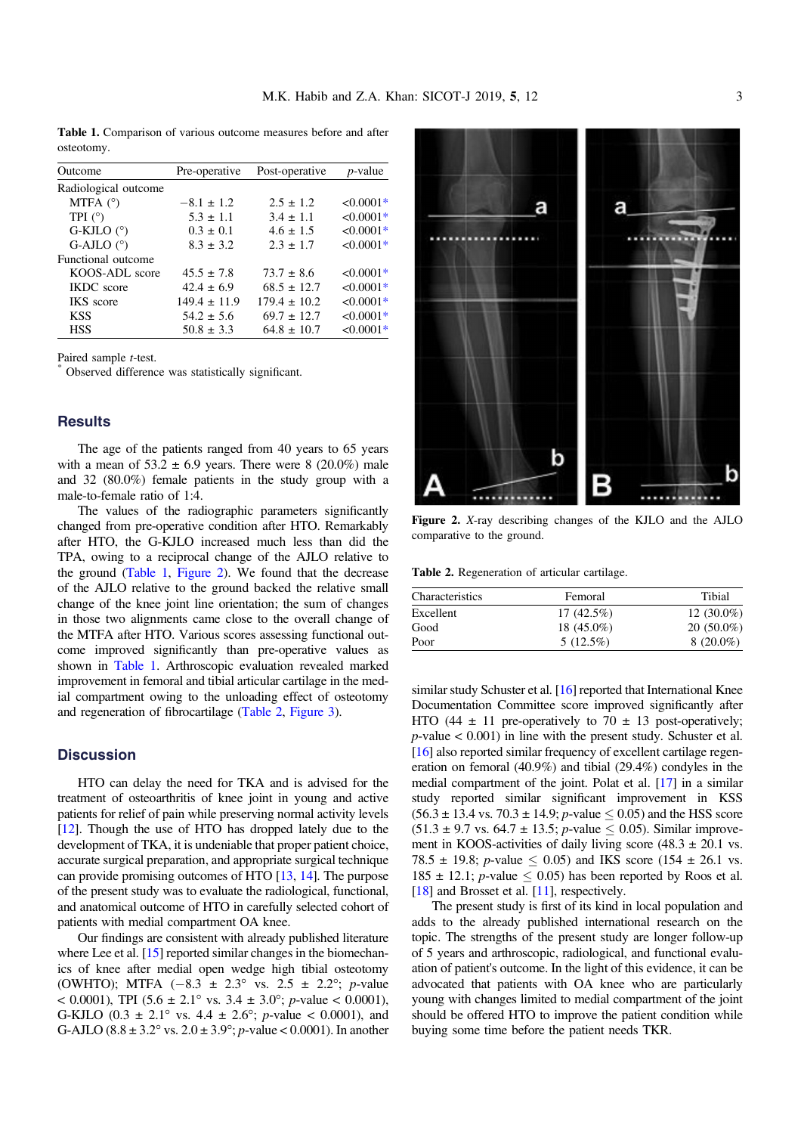Table 1. Comparison of various outcome measures before and after osteotomy.

| Outcome              | Pre-operative    | Post-operative   | <i>p</i> -value |
|----------------------|------------------|------------------|-----------------|
| Radiological outcome |                  |                  |                 |
| MTFA $(°)$           | $-8.1 \pm 1.2$   | $2.5 \pm 1.2$    | $< 0.0001*$     |
| TPI $(^\circ)$       | $5.3 \pm 1.1$    | $3.4 \pm 1.1$    | $<0.0001*$      |
| G-KJLO $(^{\circ})$  | $0.3 \pm 0.1$    | $4.6 \pm 1.5$    | $< 0.0001*$     |
| G-AJLO $(°)$         | $8.3 \pm 3.2$    | $2.3 \pm 1.7$    | $< 0.0001*$     |
| Functional outcome   |                  |                  |                 |
| KOOS-ADL score       | $45.5 \pm 7.8$   | $73.7 \pm 8.6$   | $< 0.0001*$     |
| <b>IKDC</b> score    | $42.4 \pm 6.9$   | $68.5 \pm 12.7$  | $< 0.0001*$     |
| <b>IKS</b> score     | $149.4 \pm 11.9$ | $179.4 \pm 10.2$ | $< 0.0001*$     |
| <b>KSS</b>           | $54.2 \pm 5.6$   | $69.7 \pm 12.7$  | $< 0.0001*$     |
| <b>HSS</b>           | $50.8 \pm 3.3$   | $64.8 \pm 10.7$  | $< 0.0001*$     |
|                      |                  |                  |                 |

Paired sample *t*-test.<br>\* Observed difference was statistically significant.

#### **Results**

The age of the patients ranged from 40 years to 65 years with a mean of  $53.2 \pm 6.9$  years. There were 8 (20.0%) male and 32 (80.0%) female patients in the study group with a male-to-female ratio of 1:4.

The values of the radiographic parameters significantly changed from pre-operative condition after HTO. Remarkably after HTO, the G-KJLO increased much less than did the TPA, owing to a reciprocal change of the AJLO relative to the ground (Table 1, Figure 2). We found that the decrease of the AJLO relative to the ground backed the relative small change of the knee joint line orientation; the sum of changes in those two alignments came close to the overall change of the MTFA after HTO. Various scores assessing functional outcome improved significantly than pre-operative values as shown in Table 1. Arthroscopic evaluation revealed marked improvement in femoral and tibial articular cartilage in the medial compartment owing to the unloading effect of osteotomy and regeneration of fibrocartilage (Table 2, [Figure 3\)](#page-3-0).

#### **Discussion**

HTO can delay the need for TKA and is advised for the treatment of osteoarthritis of knee joint in young and active patients for relief of pain while preserving normal activity levels [[12](#page-3-0)]. Though the use of HTO has dropped lately due to the development of TKA, it is undeniable that proper patient choice, accurate surgical preparation, and appropriate surgical technique can provide promising outcomes of HTO [\[13,](#page-3-0) [14\]](#page-3-0). The purpose of the present study was to evaluate the radiological, functional, and anatomical outcome of HTO in carefully selected cohort of patients with medial compartment OA knee.

Our findings are consistent with already published literature where Lee et al. [\[15\]](#page-4-0) reported similar changes in the biomechanics of knee after medial open wedge high tibial osteotomy (OWHTO); MTFA  $(-8.3 \pm 2.3^{\circ} \text{ vs. } 2.5 \pm 2.2^{\circ}; \text{ p-value})$ < 0.0001), TPI (5.6  $\pm$  2.1° vs. 3.4  $\pm$  3.0°; *p*-value < 0.0001), G-KJLO  $(0.3 \pm 2.1^{\circ} \text{ vs. } 4.4 \pm 2.6^{\circ}; \text{ p-value} < 0.0001)$ , and G-AJLO (8.8  $\pm$  3.2° vs. 2.0  $\pm$  3.9°; *p*-value < 0.0001). In another



Figure 2. <sup>X</sup>-ray describing changes of the KJLO and the AJLO comparative to the ground.

Table 2. Regeneration of articular cartilage.

| Characteristics | Femoral      | Tibial        |  |
|-----------------|--------------|---------------|--|
| Excellent       | $17(42.5\%)$ | 12 $(30.0\%)$ |  |
| Good            | 18 (45.0%)   | $20(50.0\%)$  |  |
| Poor            | $5(12.5\%)$  | $8(20.0\%)$   |  |

similar study Schuster et al. [\[16\]](#page-4-0) reported that International Knee Documentation Committee score improved significantly after HTO (44  $\pm$  11 pre-operatively to 70  $\pm$  13 post-operatively;  $p$ -value  $< 0.001$ ) in line with the present study. Schuster et al. [[16](#page-4-0)] also reported similar frequency of excellent cartilage regeneration on femoral (40.9%) and tibial (29.4%) condyles in the medial compartment of the joint. Polat et al. [\[17\]](#page-4-0) in a similar study reported similar significant improvement in KSS  $(56.3 \pm 13.4 \text{ vs. } 70.3 \pm 14.9; p \text{-value} \le 0.05)$  and the HSS score  $(51.3 \pm 9.7 \text{ vs. } 64.7 \pm 13.5; p\text{-value} \le 0.05)$ . Similar improvement in KOOS-activities of daily living score  $(48.3 \pm 20.1 \text{ vs.})$ 78.5  $\pm$  19.8; *p*-value  $\leq$  0.05) and IKS score (154  $\pm$  26.1 vs.  $185 \pm 12.1$ ; *p*-value  $\leq 0.05$ ) has been reported by Roos et al. [[18](#page-4-0)] and Brosset et al. [\[11\]](#page-3-0), respectively.

The present study is first of its kind in local population and adds to the already published international research on the topic. The strengths of the present study are longer follow-up of 5 years and arthroscopic, radiological, and functional evaluation of patient's outcome. In the light of this evidence, it can be advocated that patients with OA knee who are particularly young with changes limited to medial compartment of the joint should be offered HTO to improve the patient condition while buying some time before the patient needs TKR.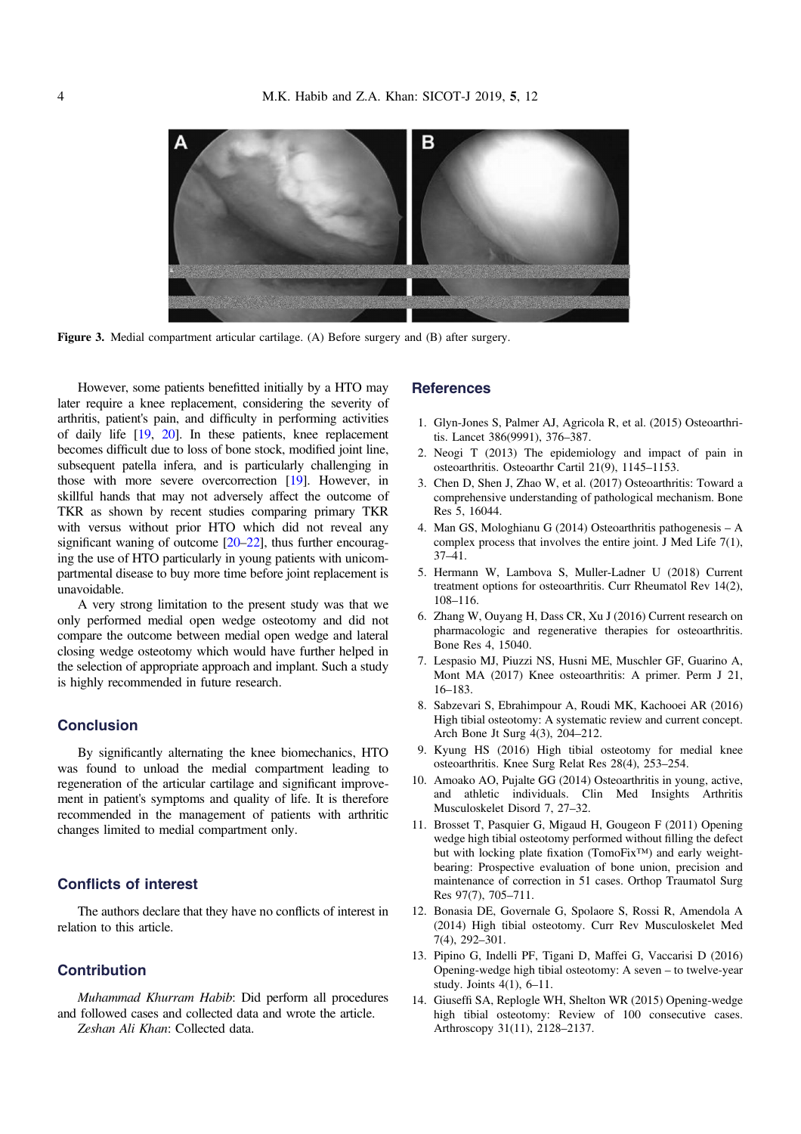<span id="page-3-0"></span>

Figure 3. Medial compartment articular cartilage. (A) Before surgery and (B) after surgery.

However, some patients benefitted initially by a HTO may later require a knee replacement, considering the severity of arthritis, patient's pain, and difficulty in performing activities of daily life [\[19,](#page-4-0) [20\]](#page-4-0). In these patients, knee replacement becomes difficult due to loss of bone stock, modified joint line, subsequent patella infera, and is particularly challenging in those with more severe overcorrection [[19](#page-4-0)]. However, in skillful hands that may not adversely affect the outcome of TKR as shown by recent studies comparing primary TKR with versus without prior HTO which did not reveal any significant waning of outcome [\[20](#page-4-0)–[22](#page-4-0)], thus further encouraging the use of HTO particularly in young patients with unicompartmental disease to buy more time before joint replacement is unavoidable.

A very strong limitation to the present study was that we only performed medial open wedge osteotomy and did not compare the outcome between medial open wedge and lateral closing wedge osteotomy which would have further helped in the selection of appropriate approach and implant. Such a study is highly recommended in future research.

#### **Conclusion**

By significantly alternating the knee biomechanics, HTO was found to unload the medial compartment leading to regeneration of the articular cartilage and significant improvement in patient's symptoms and quality of life. It is therefore recommended in the management of patients with arthritic changes limited to medial compartment only.

## Conflicts of interest

The authors declare that they have no conflicts of interest in relation to this article.

#### **Contribution**

Muhammad Khurram Habib: Did perform all procedures and followed cases and collected data and wrote the article. Zeshan Ali Khan: Collected data.

#### **References**

- 1. Glyn-Jones S, Palmer AJ, Agricola R, et al. (2015) Osteoarthritis. Lancet 386(9991), 376–387.
- 2. Neogi T (2013) The epidemiology and impact of pain in osteoarthritis. Osteoarthr Cartil 21(9), 1145–1153.
- 3. Chen D, Shen J, Zhao W, et al. (2017) Osteoarthritis: Toward a comprehensive understanding of pathological mechanism. Bone Res 5, 16044.
- 4. Man GS, Mologhianu G (2014) Osteoarthritis pathogenesis A complex process that involves the entire joint. J Med Life 7(1), 37–41.
- 5. Hermann W, Lambova S, Muller-Ladner U (2018) Current treatment options for osteoarthritis. Curr Rheumatol Rev 14(2), 108–116.
- 6. Zhang W, Ouyang H, Dass CR, Xu J (2016) Current research on pharmacologic and regenerative therapies for osteoarthritis. Bone Res 4, 15040.
- 7. Lespasio MJ, Piuzzi NS, Husni ME, Muschler GF, Guarino A, Mont MA (2017) Knee osteoarthritis: A primer. Perm J 21, 16–183.
- 8. Sabzevari S, Ebrahimpour A, Roudi MK, Kachooei AR (2016) High tibial osteotomy: A systematic review and current concept. Arch Bone Jt Surg 4(3), 204–212.
- 9. Kyung HS (2016) High tibial osteotomy for medial knee osteoarthritis. Knee Surg Relat Res 28(4), 253–254.
- 10. Amoako AO, Pujalte GG (2014) Osteoarthritis in young, active, and athletic individuals. Clin Med Insights Arthritis Musculoskelet Disord 7, 27–32.
- 11. Brosset T, Pasquier G, Migaud H, Gougeon F (2011) Opening wedge high tibial osteotomy performed without filling the defect but with locking plate fixation (TomoFix™) and early weightbearing: Prospective evaluation of bone union, precision and maintenance of correction in 51 cases. Orthop Traumatol Surg Res 97(7), 705–711.
- 12. Bonasia DE, Governale G, Spolaore S, Rossi R, Amendola A (2014) High tibial osteotomy. Curr Rev Musculoskelet Med 7(4), 292–301.
- 13. Pipino G, Indelli PF, Tigani D, Maffei G, Vaccarisi D (2016) Opening-wedge high tibial osteotomy: A seven – to twelve-year study. Joints 4(1), 6–11.
- 14. Giuseffi SA, Replogle WH, Shelton WR (2015) Opening-wedge high tibial osteotomy: Review of 100 consecutive cases. Arthroscopy 31(11), 2128–2137.